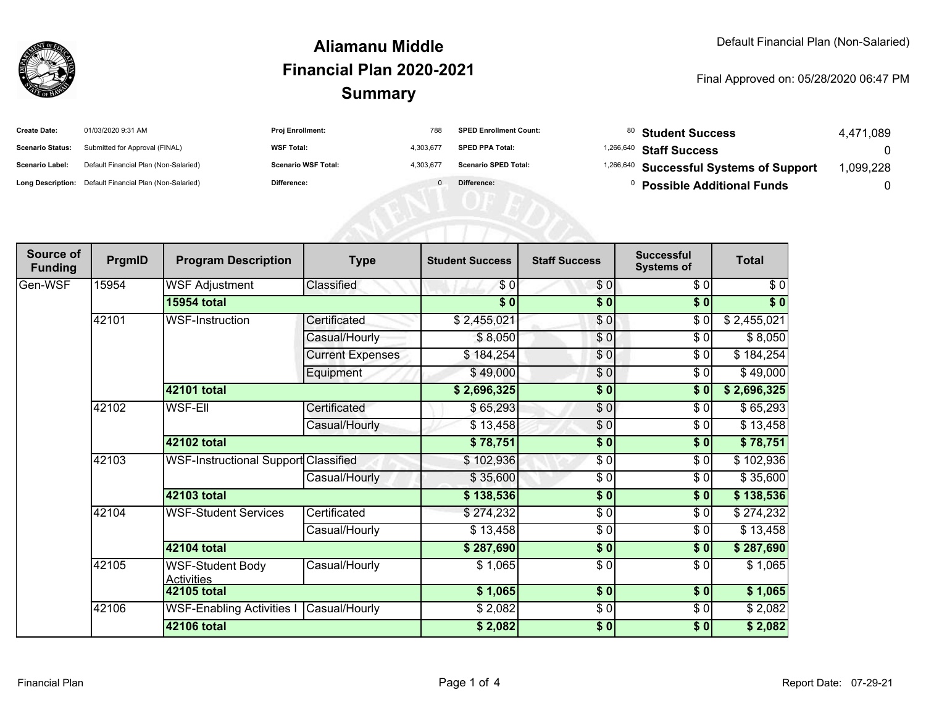

#### **SummaryAliamanu MiddleFinancial Plan 2020-2021**

#### Final Approved on: 05/28/2020 06:47 PM

| <b>Create Date:</b>     | 01/03/2020 9:31 AM                                      | <b>Proj Enrollment:</b>    | 788       | <b>SPED Enrollment Count:</b> |           | 80 Student Success                      | 4,471,089 |
|-------------------------|---------------------------------------------------------|----------------------------|-----------|-------------------------------|-----------|-----------------------------------------|-----------|
| <b>Scenario Status:</b> | Submitted for Approval (FINAL)                          | <b>WSF Total:</b>          | 4,303,677 | <b>SPED PPA Total:</b>        | 1,266,640 | <b>Staff Success</b>                    |           |
| <b>Scenario Label:</b>  | Default Financial Plan (Non-Salaried)                   | <b>Scenario WSF Total:</b> | 4,303,677 | <b>Scenario SPED Total:</b>   |           | 1,266,640 Successful Systems of Support | 1,099,228 |
|                         | Long Description: Default Financial Plan (Non-Salaried) | Difference:                |           | Difference:                   |           | <b>Possible Additional Funds</b>        |           |
|                         |                                                         |                            |           |                               |           |                                         |           |
|                         |                                                         |                            |           |                               |           |                                         |           |
|                         |                                                         |                            |           |                               |           |                                         |           |

| Source of<br><b>Funding</b> | PrgmID | <b>Program Description</b>                   | <b>Type</b>             | <b>Student Success</b> | <b>Staff Success</b> | <b>Successful</b><br><b>Systems of</b> | <b>Total</b> |
|-----------------------------|--------|----------------------------------------------|-------------------------|------------------------|----------------------|----------------------------------------|--------------|
| Gen-WSF                     | 15954  | <b>WSF Adjustment</b>                        | Classified              | \$0                    | \$0                  | \$0                                    | \$0          |
|                             |        | <b>15954 total</b>                           |                         | $\overline{\bullet}$   | \$0                  | \$0                                    | $\sqrt[6]{}$ |
|                             | 42101  | <b>WSF-Instruction</b>                       | Certificated            | \$2,455,021            | $\frac{6}{3}$        | $\frac{1}{\sqrt{2}}$                   | \$2,455,021  |
|                             |        |                                              | Casual/Hourly           | \$8,050                | \$0                  | \$0                                    | \$8,050      |
|                             |        |                                              | <b>Current Expenses</b> | \$184,254              | \$0                  | \$0                                    | \$184,254    |
|                             |        |                                              | Equipment               | \$49,000               | \$0                  | \$0                                    | \$49,000     |
|                             |        | 42101 total                                  |                         | \$2,696,325            | \$0                  | \$0                                    | \$2,696,325  |
|                             | 42102  | <b>WSF-Ell</b>                               | Certificated            | \$65,293               | \$0                  | \$0                                    | \$65,293     |
|                             |        |                                              | Casual/Hourly           | \$13,458               | \$0                  | \$0                                    | \$13,458     |
|                             |        | <b>42102 total</b>                           |                         | \$78,751               | \$0                  | \$0                                    | \$78,751     |
|                             | 42103  | <b>WSF-Instructional Support Classified</b>  |                         | \$102,936              | \$0                  | \$0                                    | \$102,936    |
|                             |        |                                              | Casual/Hourly           | \$35,600               | \$0                  | \$0                                    | \$35,600     |
|                             |        | 42103 total                                  |                         | \$138,536              | $\frac{1}{2}$        | \$0                                    | \$138,536    |
|                             | 42104  | <b>WSF-Student Services</b>                  | Certificated            | \$274,232              | \$0                  | \$0                                    | \$274,232    |
|                             |        |                                              | Casual/Hourly           | \$13,458               | \$0                  | \$0                                    | \$13,458     |
|                             |        | 42104 total                                  |                         | \$287,690              | $\frac{1}{2}$        | \$0                                    | \$287,690    |
|                             | 42105  | <b>WSF-Student Body</b><br><b>Activities</b> | Casual/Hourly           | \$1,065                | \$0                  | \$0                                    | \$1,065      |
|                             |        | <b>42105 total</b>                           |                         | \$1,065                | \$0                  | $\sqrt{6}$                             | \$1,065      |
|                             | 42106  | <b>WSF-Enabling Activities I</b>             | Casual/Hourly           | \$2,082                | $\frac{6}{6}$        | \$0                                    | \$2,082      |
|                             |        | <b>42106 total</b>                           |                         | \$2,082                | \$0                  | \$0                                    | \$2,082      |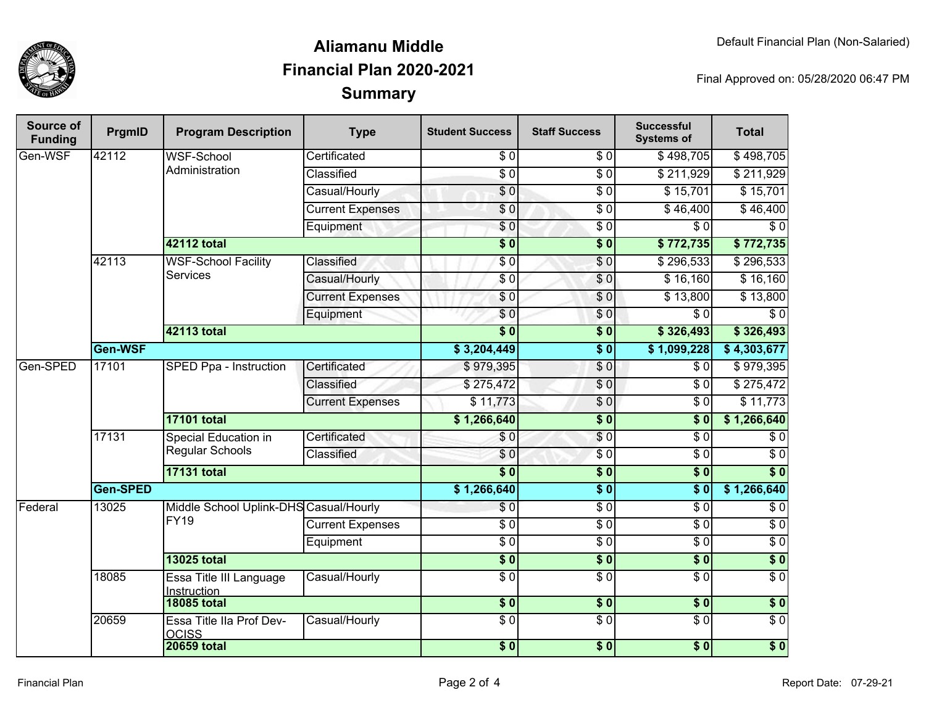

## **SummaryAliamanu MiddleFinancial Plan 2020-2021**

Final Approved on: 05/28/2020 06:47 PM

| Source of<br><b>Funding</b> | PrgmID   | <b>Program Description</b>                            | <b>Type</b>             | <b>Student Success</b> | <b>Staff Success</b> | <b>Successful</b><br><b>Systems of</b> | <b>Total</b>     |
|-----------------------------|----------|-------------------------------------------------------|-------------------------|------------------------|----------------------|----------------------------------------|------------------|
| Gen-WSF                     | 42112    | <b>WSF-School</b>                                     | Certificated            | \$0                    | \$0                  | \$498,705                              | \$498,705        |
|                             |          | Administration                                        | Classified              | $\overline{60}$        | \$0                  | \$211,929                              | \$211,929        |
|                             |          |                                                       | Casual/Hourly           | $\overline{\$0}$       | $\sqrt{6}$           | \$15,701                               | \$15,701         |
|                             |          |                                                       | <b>Current Expenses</b> | \$0                    | $\overline{\$0}$     | \$46,400                               | \$46,400         |
|                             |          |                                                       | Equipment               | \$0                    | $\overline{30}$      | $\overline{\$0}$                       | $\sqrt{6}$       |
|                             |          | <b>42112 total</b>                                    |                         | $\overline{\$0}$       | $\overline{\$0}$     | \$772,735                              | \$772,735        |
|                             | 42113    | <b>WSF-School Facility</b><br><b>Services</b>         | Classified              | $\overline{S}0$        | \$0                  | \$296,533                              | \$296,533        |
|                             |          |                                                       | Casual/Hourly           | \$0                    | $\overline{\$0}$     | \$16,160                               | \$16,160         |
|                             |          |                                                       | <b>Current Expenses</b> | \$0                    | \$0                  | \$13,800                               | \$13,800         |
|                             |          |                                                       | Equipment               | \$0                    | $\frac{6}{6}$        | \$0                                    | \$0              |
|                             |          | 42113 total                                           |                         | $\overline{\$0}$       | $\overline{\$0}$     | \$326,493                              | \$326,493        |
|                             | Gen-WSF  |                                                       |                         | \$3,204,449            | $\overline{\$0}$     | \$1,099,228                            | \$4,303,677      |
| Gen-SPED                    | 17101    | <b>SPED Ppa - Instruction</b>                         | Certificated            | \$979,395              | \$0                  | \$0                                    | \$979,395        |
|                             |          |                                                       | Classified              | \$275,472              | $\sqrt{0}$           | $\overline{\$0}$                       | \$275,472        |
|                             |          |                                                       | <b>Current Expenses</b> | \$11,773               | \$0                  | $\overline{\$0}$                       | \$11,773         |
|                             |          | <b>17101 total</b>                                    |                         |                        | $\overline{\$0}$     | $\overline{\$0}$                       | \$1,266,640      |
|                             | 17131    | Special Education in<br><b>Regular Schools</b>        | Certificated            | \$0                    | \$0                  | $\overline{\$0}$                       | $\overline{\$0}$ |
|                             |          |                                                       | Classified              | \$0                    | $\overline{\$0}$     | $\overline{\$0}$                       | $\overline{\$0}$ |
|                             |          | <b>17131 total</b>                                    |                         |                        | \$0                  | s <sub>0</sub>                         | $\overline{\$0}$ |
|                             | Gen-SPED |                                                       | \$1,266,640             | $\overline{\$0}$       | s <sub>0</sub>       | \$1,266,640                            |                  |
| Federal                     | 13025    | Middle School Uplink-DHS Casual/Hourly<br><b>FY19</b> |                         | $\overline{\$0}$       | $\overline{30}$      | $\overline{\$0}$                       | $\overline{\$0}$ |
|                             |          |                                                       | <b>Current Expenses</b> | $\sqrt{6}$             | $\sqrt{6}$           | $\overline{\$0}$                       | $\overline{\$0}$ |
|                             |          |                                                       | Equipment               | $\overline{\$0}$       | $\sqrt{6}$           | $\sqrt{6}$                             | $\overline{\$0}$ |
|                             |          | <b>13025 total</b>                                    |                         | $\overline{\$0}$       | $\overline{\$0}$     | s <sub>0</sub>                         | $\overline{\$0}$ |
|                             | 18085    | Essa Title III Language<br>Instruction                | Casual/Hourly           | $\overline{\$0}$       | $\overline{S}0$      | $\overline{\$0}$                       | \$0              |
|                             |          | <b>18085 total</b>                                    |                         | $\frac{1}{6}$          | $\frac{1}{2}$        | 30                                     | $\overline{\$0}$ |
|                             | 20659    | Essa Title IIa Prof Dev-<br><b>OCISS</b>              | Casual/Hourly           | $\overline{\$0}$       | $\overline{\$0}$     | $\overline{\$0}$                       | $\overline{\$0}$ |
|                             |          | <b>20659 total</b>                                    |                         | $\sqrt{6}$             | $\sqrt{6}$           | $\sqrt{6}$                             | $\overline{\$0}$ |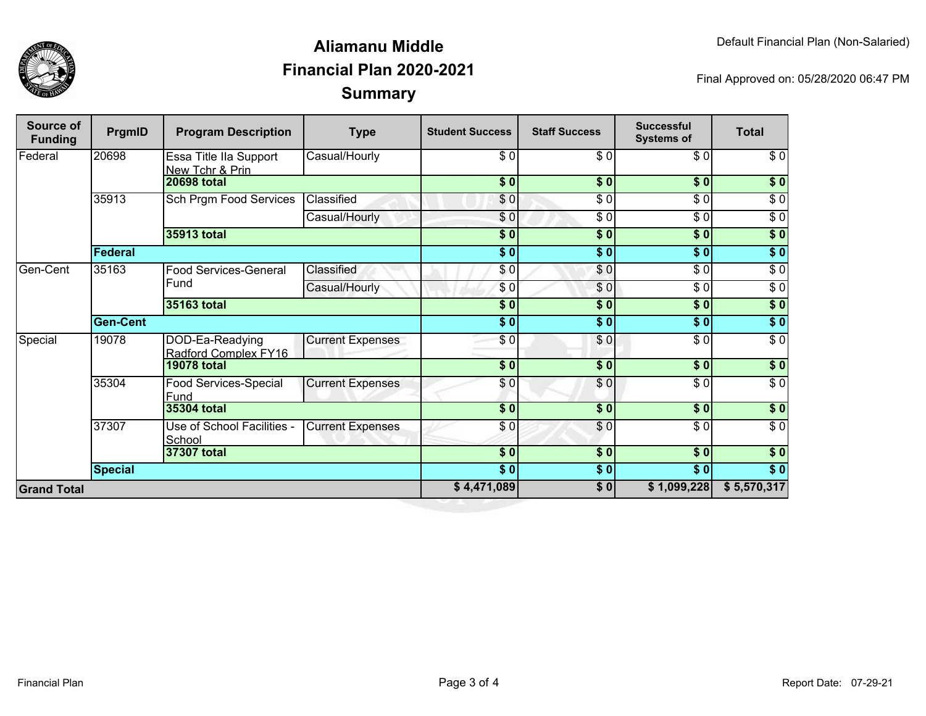

## **SummaryAliamanu MiddleFinancial Plan 2020-2021**

Final Approved on: 05/28/2020 06:47 PM

| <b>Source of</b><br><b>Funding</b> | PrgmID          | <b>Program Description</b>                | <b>Type</b>             | <b>Student Success</b> | <b>Staff Success</b> | <b>Successful</b><br><b>Systems of</b> | <b>Total</b>     |
|------------------------------------|-----------------|-------------------------------------------|-------------------------|------------------------|----------------------|----------------------------------------|------------------|
| Federal                            | 20698           | Essa Title IIa Support<br>New Tchr & Prin | Casual/Hourly           | \$0                    | \$0                  | \$0                                    | \$0              |
|                                    |                 | <b>20698 total</b>                        |                         | \$0                    | \$0                  | \$0                                    | \$0              |
|                                    | 35913           | Sch Prgm Food Services                    | Classified              | \$0                    | $\overline{\$0}$     | $\overline{\$0}$                       | $\sqrt{6}$       |
|                                    |                 |                                           | Casual/Hourly           | \$0                    | \$0                  | $\overline{\$0}$                       | $\overline{\$0}$ |
|                                    |                 | 35913 total                               |                         | $\overline{\$0}$       | $\frac{1}{2}$        | 30                                     | $\sqrt{6}$       |
|                                    | <b>Federal</b>  |                                           |                         | \$0                    | \$0                  | \$0                                    | \$0              |
| Gen-Cent                           | 35163           | Food Services-General<br>Fund             | Classified              | \$0                    | \$0                  | $\overline{\$0}$                       | $\overline{\$0}$ |
|                                    |                 |                                           | Casual/Hourly           | \$0                    | \$0                  | \$0                                    | $\sqrt{6}$       |
|                                    |                 | 35163 total                               |                         | $\overline{\$0}$       | \$0                  | \$0                                    | $\overline{\$0}$ |
|                                    | <b>Gen-Cent</b> |                                           |                         | s <sub>0</sub>         | \$0                  | s <sub>0</sub>                         | $\overline{\$0}$ |
| Special                            | 19078           | DOD-Ea-Readying<br>Radford Complex FY16   | <b>Current Expenses</b> | $\overline{\$0}$       | \$0                  | $\overline{30}$                        | $\overline{\$0}$ |
|                                    |                 | <b>19078 total</b>                        |                         | $\overline{\bullet}$   | $\sqrt{6}$           | $\frac{1}{2}$                          | $\sqrt{6}$       |
|                                    | 35304           | Food Services-Special<br>Fund             | <b>Current Expenses</b> | \$0                    | \$0                  | \$0                                    | $\overline{50}$  |
|                                    |                 | <b>35304 total</b>                        |                         | $\overline{\$0}$       | $\overline{\$0}$     | \$0                                    | $\overline{\$0}$ |
|                                    | 37307           | Use of School Facilities -<br>School      | <b>Current Expenses</b> | \$0                    | $\overline{\$0}$     | $\overline{30}$                        | $\overline{\$0}$ |
|                                    |                 | 37307 total                               |                         | $\overline{\bullet}$ 0 | \$0                  | s <sub>0</sub>                         | \$0              |
|                                    | <b>Special</b>  |                                           |                         | s <sub>0</sub>         | \$0                  | $\sqrt{6}$                             | $\overline{\$0}$ |
| <b>Grand Total</b>                 |                 |                                           |                         | \$4,471,089            | \$0                  | \$1,099,228                            | \$5,570,317      |